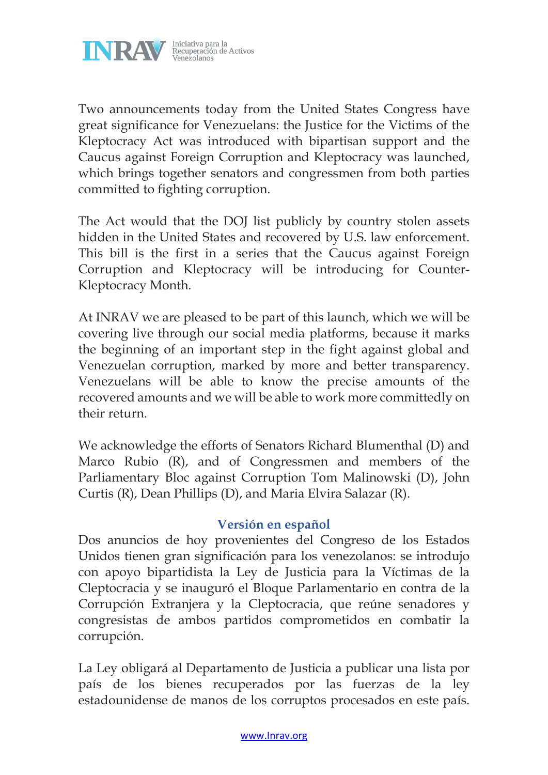

Two announcements today from the United States Congress have great significance for Venezuelans: the Justice for the Victims of the Kleptocracy Act was introduced with bipartisan support and the Caucus against Foreign Corruption and Kleptocracy was launched, which brings together senators and congressmen from both parties committed to fighting corruption.

The Act would that the DOJ list publicly by country stolen assets hidden in the United States and recovered by U.S. law enforcement. This bill is the first in a series that the Caucus against Foreign Corruption and Kleptocracy will be introducing for Counter-Kleptocracy Month.

At INRAV we are pleased to be part of this launch, which we will be covering live through our social media platforms, because it marks the beginning of an important step in the fight against global and Venezuelan corruption, marked by more and better transparency. Venezuelans will be able to know the precise amounts of the recovered amounts and we will be able to work more committedly on their return.

We acknowledge the efforts of Senators Richard Blumenthal (D) and Marco Rubio (R), and of Congressmen and members of the Parliamentary Bloc against Corruption Tom Malinowski (D), John Curtis (R), Dean Phillips (D), and Maria Elvira Salazar (R).

## **Versión en español**

Dos anuncios de hoy provenientes del Congreso de los Estados Unidos tienen gran significación para los venezolanos: se introdujo con apoyo bipartidista la Ley de Justicia para la Víctimas de la Cleptocracia y se inauguró el Bloque Parlamentario en contra de la Corrupción Extranjera y la Cleptocracia, que reúne senadores y congresistas de ambos partidos comprometidos en combatir la corrupción.

La Ley obligará al Departamento de Justicia a publicar una lista por país de los bienes recuperados por las fuerzas de la ley estadounidense de manos de los corruptos procesados en este país.